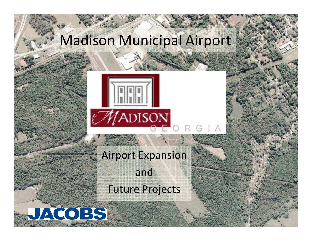#### Madison Municipal Airport



Airport Expansion

andFuture Projects

1

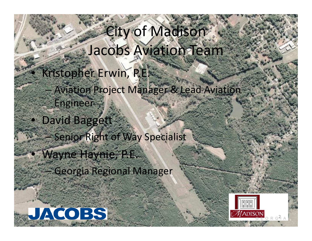City of Madison Jacobs Aviation Team $\bullet$  Kristopher Erwin, P.E. Aviation Project Manager & Lead Aviation Engineer• David Baggett Senior Right of Way Specialist • Wayne Haynie, P.E. Georgia Regional Manager



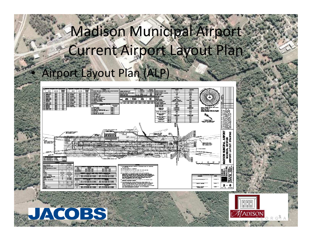## Madison Municipal Airport Current Airport Layout PlanAirport Layout Plan (ALP)



3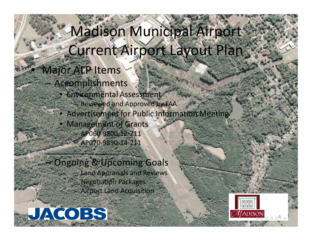## Madison Municipal AirportCurrent Airport Layout Plan

- • Major ALP Items Accomplishments
	- Environmental Assessment – Reviewed and Approved by FAA • Advertisement for Public Information Meeting• Management of Grants AP060-9800-12-211 AP070-9890-14-211
	- Ongoing & Upcoming Goals – Land Appraisals and Reviews Negotiation Packages
		- Airport Land Acquisition



–

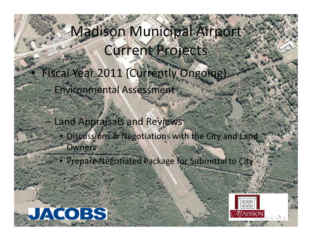## Madison Municipal AirportCurrent ProjectsFiscal Year 2011 (Currently Ongoing)

Environmental Assessment

 Land Appraisals and Reviews • Discussions & Negotiations with the City and Land **Owners** 

•Prepare Negotiated Package for Submittal to City



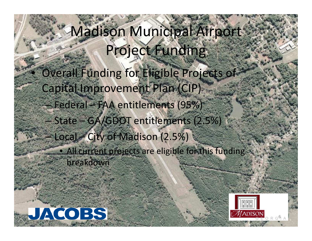#### Madison Municipal Airport Project Funding $\bullet$ Overall Funding for Eligible Projects of Capital Improvement Plan (CIP) Federal – FAA entitlements (95%) State – GA/GDOT entitlements (2.5%) Local – City of Madison (2.5%) • All current projects are eligible for this funding breakdown



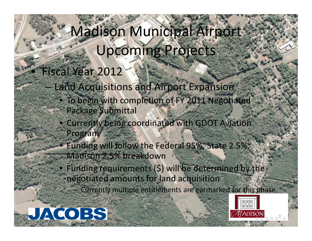# Madison Municipal AirportUpcoming Projects

#### Fiscal Year 2012

- Land Acquisitions and Airport Expansion
	- To begin with completion of FY 2011 Negotiated Package Submittal
	- Currently being coordinated with GDOT Aviation Program
	- Funding will follow the Federal 95%, State 2.5%, •Madison 2.5% breakdown
	- Funding requirements (\$) will be determined by the negotiated amounts for land acquisition
		- Currently multiple entitlements are earmarked for this phase



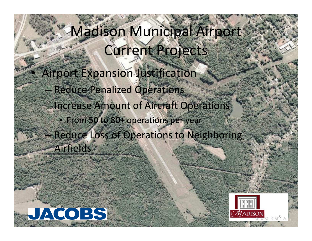### Madison Municipal AirportCurrent Projects

 $\bullet$  Airport Expansion Justification Reduce Penalized Operations Increase Amount of Aircraft Operations • From 50 to 80+ operations per year Reduce Loss of Operations to Neighboring Airfields



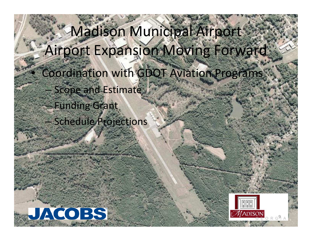Madison Municipal Airport Airport Expansion Moving Forward $\bullet$  Coordination with GDOT Aviation Programs- Scope and Estimate Funding Grant Schedule Projections



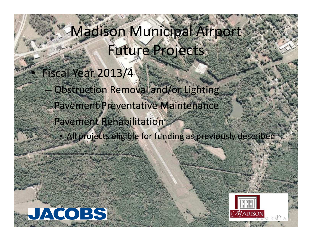#### Madison Municipal AirportFuture Projects Fiscal Year 2013/4 Obstruction Removal and/or Lighting Pavement Preventative Maintenance Pavement Rehabilitation • All projects eligible for funding as previously described



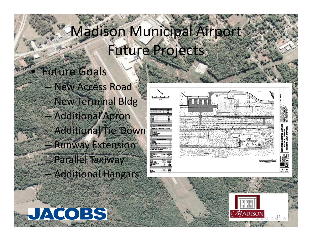### Madison Municipal AirportFuture Projects

 $\bullet$  Future Goals New Access Road New Terminal Bldg Additional Apron Additional Tie-Down Runway Extension Parallel Taxiway Additional Hangars